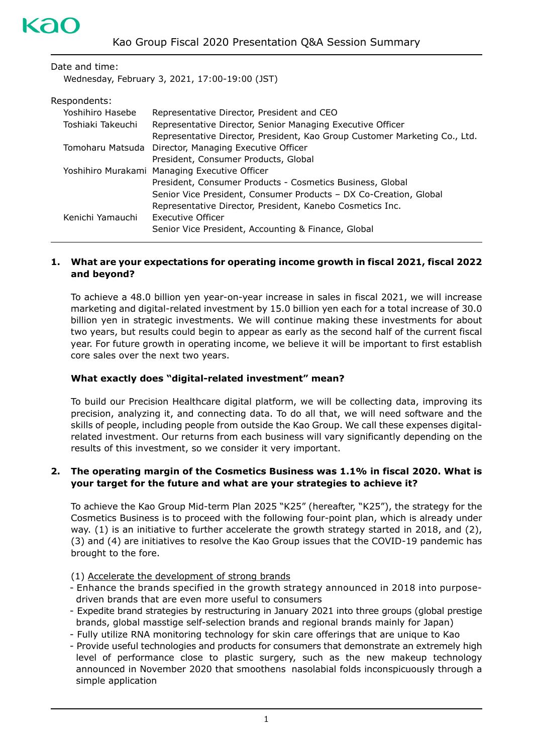| Date and time:    |                                                                            |
|-------------------|----------------------------------------------------------------------------|
|                   | Wednesday, February 3, 2021, 17:00-19:00 (JST)                             |
| Respondents:      |                                                                            |
| Yoshihiro Hasebe  | Representative Director, President and CEO                                 |
| Toshiaki Takeuchi | Representative Director, Senior Managing Executive Officer                 |
|                   | Representative Director, President, Kao Group Customer Marketing Co., Ltd. |
| Tomoharu Matsuda  | Director, Managing Executive Officer                                       |
|                   | President, Consumer Products, Global                                       |
|                   | Yoshihiro Murakami Managing Executive Officer                              |
|                   | President, Consumer Products - Cosmetics Business, Global                  |
|                   | Senior Vice President, Consumer Products - DX Co-Creation, Global          |

|                  | being vice resident, consumer rouged is by co-creation, a |
|------------------|-----------------------------------------------------------|
|                  | Representative Director, President, Kanebo Cosmetics Inc. |
| Kenichi Yamauchi | Executive Officer                                         |

# Senior Vice President, Accounting & Finance, Global

# **1. What are your expectations for operating income growth in fiscal 2021, fiscal 2022 and beyond?**

To achieve a 48.0 billion yen year-on-year increase in sales in fiscal 2021, we will increase marketing and digital-related investment by 15.0 billion yen each for a total increase of 30.0 billion yen in strategic investments. We will continue making these investments for about two years, but results could begin to appear as early as the second half of the current fiscal year. For future growth in operating income, we believe it will be important to first establish core sales over the next two years.

# **What exactly does "digital-related investment" mean?**

To build our Precision Healthcare digital platform, we will be collecting data, improving its precision, analyzing it, and connecting data. To do all that, we will need software and the skills of people, including people from outside the Kao Group. We call these expenses digitalrelated investment. Our returns from each business will vary significantly depending on the results of this investment, so we consider it very important.

## **2. The operating margin of the Cosmetics Business was 1.1% in fiscal 2020. What is your target for the future and what are your strategies to achieve it?**

To achieve the Kao Group Mid-term Plan 2025 "K25" (hereafter, "K25"), the strategy for the Cosmetics Business is to proceed with the following four-point plan, which is already under way. (1) is an initiative to further accelerate the growth strategy started in 2018, and (2), (3) and (4) are initiatives to resolve the Kao Group issues that the COVID-19 pandemic has brought to the fore.

(1) Accelerate the development of strong brands

- Enhance the brands specified in the growth strategy announced in 2018 into purposedriven brands that are even more useful to consumers
- Expedite brand strategies by restructuring in January 2021 into three groups (global prestige brands, global masstige self-selection brands and regional brands mainly for Japan)
- Fully utilize RNA monitoring technology for skin care offerings that are unique to Kao
- Provide useful technologies and products for consumers that demonstrate an extremely high level of performance close to plastic surgery, such as the new makeup technology announced in November 2020 that smoothens nasolabial folds inconspicuously through a simple application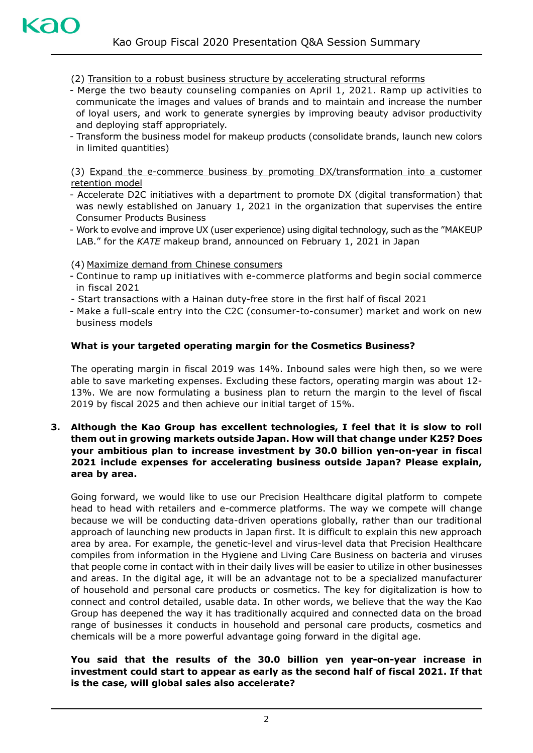(2) Transition to a robust business structure by accelerating structural reforms

- Merge the two beauty counseling companies on April 1, 2021. Ramp up activities to communicate the images and values of brands and to maintain and increase the number of loyal users, and work to generate synergies by improving beauty advisor productivity and deploying staff appropriately.
- Transform the business model for makeup products (consolidate brands, launch new colors in limited quantities)

(3) Expand the e-commerce business by promoting DX/transformation into a customer retention model

- Accelerate D2C initiatives with a department to promote DX (digital transformation) that was newly established on January 1, 2021 in the organization that supervises the entire Consumer Products Business
- Work to evolve and improve UX (user experience) using digital technology, such as the "MAKEUP LAB." for the *KATE* makeup brand, announced on February 1, 2021 in Japan

(4) Maximize demand from Chinese consumers

- Continue to ramp up initiatives with e-commerce platforms and begin social commerce in fiscal 2021
- Start transactions with a Hainan duty-free store in the first half of fiscal 2021
- Make a full-scale entry into the C2C (consumer-to-consumer) market and work on new business models

#### **What is your targeted operating margin for the Cosmetics Business?**

The operating margin in fiscal 2019 was 14%. Inbound sales were high then, so we were able to save marketing expenses. Excluding these factors, operating margin was about 12- 13%. We are now formulating a business plan to return the margin to the level of fiscal 2019 by fiscal 2025 and then achieve our initial target of 15%.

**3. Although the Kao Group has excellent technologies, I feel that it is slow to roll them out in growing markets outside Japan. How will that change under K25? Does your ambitious plan to increase investment by 30.0 billion yen-on-year in fiscal 2021 include expenses for accelerating business outside Japan? Please explain, area by area.** 

Going forward, we would like to use our Precision Healthcare digital platform to compete head to head with retailers and e-commerce platforms. The way we compete will change because we will be conducting data-driven operations globally, rather than our traditional approach of launching new products in Japan first. It is difficult to explain this new approach area by area. For example, the genetic-level and virus-level data that Precision Healthcare compiles from information in the Hygiene and Living Care Business on bacteria and viruses that people come in contact with in their daily lives will be easier to utilize in other businesses and areas. In the digital age, it will be an advantage not to be a specialized manufacturer of household and personal care products or cosmetics. The key for digitalization is how to connect and control detailed, usable data. In other words, we believe that the way the Kao Group has deepened the way it has traditionally acquired and connected data on the broad range of businesses it conducts in household and personal care products, cosmetics and chemicals will be a more powerful advantage going forward in the digital age.

#### **You said that the results of the 30.0 billion yen year-on-year increase in investment could start to appear as early as the second half of fiscal 2021. If that is the case, will global sales also accelerate?**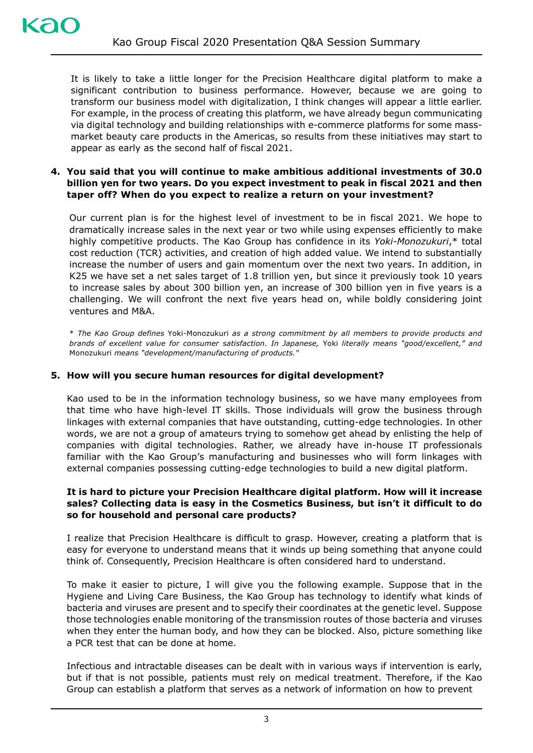It is likely to take a little longer for the Precision Healthcare digital platform to make a significant contribution to business performance. However, because we are going to transform our business model with digitalization, I think changes will appear a little earlier. For example, in the process of creating this platform, we have already begun communicating via digital technology and building relationships with e-commerce platforms for some massmarket beauty care products in the Americas, so results from these initiatives may start to appear as early as the second half of fiscal 2021.

## **4. You said that you will continue to make ambitious additional investments of 30.0 billion yen for two years. Do you expect investment to peak in fiscal 2021 and then taper off? When do you expect to realize a return on your investment?**

Our current plan is for the highest level of investment to be in fiscal 2021. We hope to dramatically increase sales in the next year or two while using expenses efficiently to make highly competitive products. The Kao Group has confidence in its *Yoki-Monozukuri*,\* total cost reduction (TCR) activities, and creation of high added value. We intend to substantially increase the number of users and gain momentum over the next two years. In addition, in K25 we have set a net sales target of 1.8 trillion yen, but since it previously took 10 years to increase sales by about 300 billion yen, an increase of 300 billion yen in five years is a challenging. We will confront the next five years head on, while boldly considering joint ventures and M&A.

\* *The Kao Group defines* Yoki-Monozukuri *as a strong commitment by all members to provide products and brands of excellent value for consumer satisfaction. In Japanese,* Yoki *literally means "good/excellent," and*  Monozukuri *means "development/manufacturing of products."*

## **5. How will you secure human resources for digital development?**

Kao used to be in the information technology business, so we have many employees from that time who have high-level IT skills. Those individuals will grow the business through linkages with external companies that have outstanding, cutting-edge technologies. In other words, we are not a group of amateurs trying to somehow get ahead by enlisting the help of companies with digital technologies. Rather, we already have in-house IT professionals familiar with the Kao Group's manufacturing and businesses who will form linkages with external companies possessing cutting-edge technologies to build a new digital platform.

#### **It is hard to picture your Precision Healthcare digital platform. How will it increase sales? Collecting data is easy in the Cosmetics Business, but isn't it difficult to do so for household and personal care products?**

I realize that Precision Healthcare is difficult to grasp. However, creating a platform that is easy for everyone to understand means that it winds up being something that anyone could think of. Consequently, Precision Healthcare is often considered hard to understand.

To make it easier to picture, I will give you the following example. Suppose that in the Hygiene and Living Care Business, the Kao Group has technology to identify what kinds of bacteria and viruses are present and to specify their coordinates at the genetic level. Suppose those technologies enable monitoring of the transmission routes of those bacteria and viruses when they enter the human body, and how they can be blocked. Also, picture something like a PCR test that can be done at home.

Infectious and intractable diseases can be dealt with in various ways if intervention is early, but if that is not possible, patients must rely on medical treatment. Therefore, if the Kao Group can establish a platform that serves as a network of information on how to prevent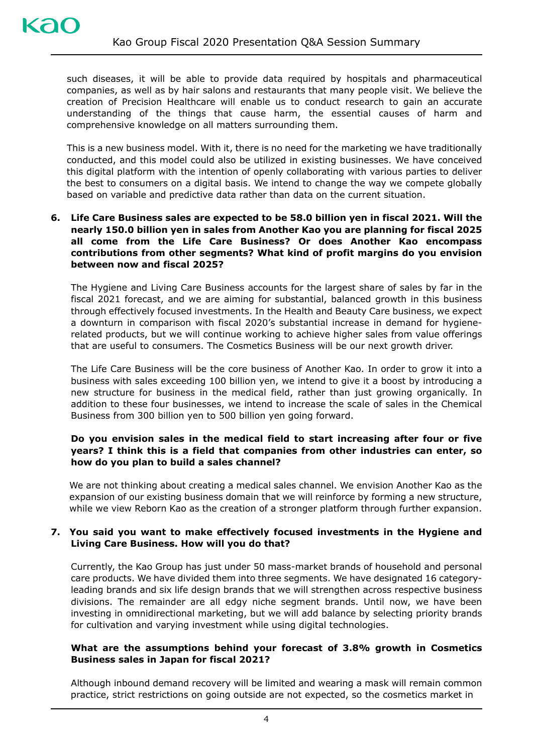such diseases, it will be able to provide data required by hospitals and pharmaceutical companies, as well as by hair salons and restaurants that many people visit. We believe the creation of Precision Healthcare will enable us to conduct research to gain an accurate understanding of the things that cause harm, the essential causes of harm and comprehensive knowledge on all matters surrounding them.

This is a new business model. With it, there is no need for the marketing we have traditionally conducted, and this model could also be utilized in existing businesses. We have conceived this digital platform with the intention of openly collaborating with various parties to deliver the best to consumers on a digital basis. We intend to change the way we compete globally based on variable and predictive data rather than data on the current situation.

**6. Life Care Business sales are expected to be 58.0 billion yen in fiscal 2021. Will the nearly 150.0 billion yen in sales from Another Kao you are planning for fiscal 2025 all come from the Life Care Business? Or does Another Kao encompass contributions from other segments? What kind of profit margins do you envision between now and fiscal 2025?** 

The Hygiene and Living Care Business accounts for the largest share of sales by far in the fiscal 2021 forecast, and we are aiming for substantial, balanced growth in this business through effectively focused investments. In the Health and Beauty Care business, we expect a downturn in comparison with fiscal 2020's substantial increase in demand for hygienerelated products, but we will continue working to achieve higher sales from value offerings that are useful to consumers. The Cosmetics Business will be our next growth driver.

The Life Care Business will be the core business of Another Kao. In order to grow it into a business with sales exceeding 100 billion yen, we intend to give it a boost by introducing a new structure for business in the medical field, rather than just growing organically. In addition to these four businesses, we intend to increase the scale of sales in the Chemical Business from 300 billion yen to 500 billion yen going forward.

# **Do you envision sales in the medical field to start increasing after four or five years? I think this is a field that companies from other industries can enter, so how do you plan to build a sales channel?**

We are not thinking about creating a medical sales channel. We envision Another Kao as the expansion of our existing business domain that we will reinforce by forming a new structure, while we view Reborn Kao as the creation of a stronger platform through further expansion.

## **7. You said you want to make effectively focused investments in the Hygiene and Living Care Business. How will you do that?**

Currently, the Kao Group has just under 50 mass-market brands of household and personal care products. We have divided them into three segments. We have designated 16 categoryleading brands and six life design brands that we will strengthen across respective business divisions. The remainder are all edgy niche segment brands. Until now, we have been investing in omnidirectional marketing, but we will add balance by selecting priority brands for cultivation and varying investment while using digital technologies.

## **What are the assumptions behind your forecast of 3.8% growth in Cosmetics Business sales in Japan for fiscal 2021?**

Although inbound demand recovery will be limited and wearing a mask will remain common practice, strict restrictions on going outside are not expected, so the cosmetics market in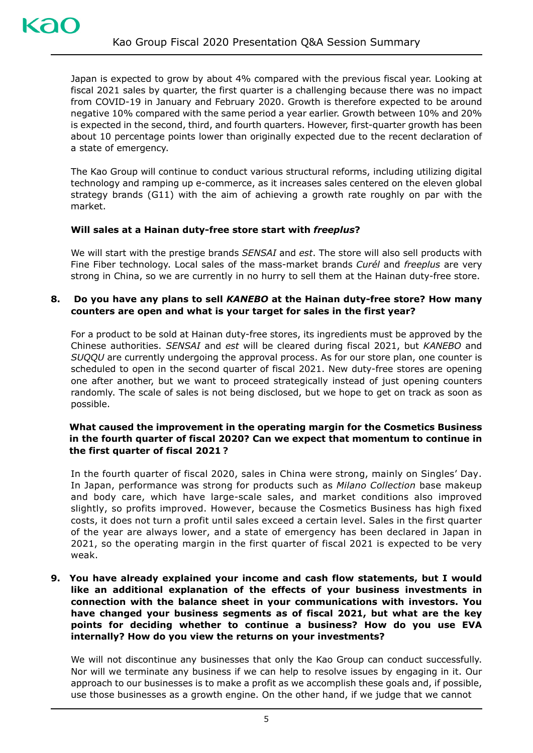Japan is expected to grow by about 4% compared with the previous fiscal year. Looking at fiscal 2021 sales by quarter, the first quarter is a challenging because there was no impact from COVID-19 in January and February 2020. Growth is therefore expected to be around negative 10% compared with the same period a year earlier. Growth between 10% and 20% is expected in the second, third, and fourth quarters. However, first-quarter growth has been about 10 percentage points lower than originally expected due to the recent declaration of a state of emergency.

The Kao Group will continue to conduct various structural reforms, including utilizing digital technology and ramping up e-commerce, as it increases sales centered on the eleven global strategy brands (G11) with the aim of achieving a growth rate roughly on par with the market.

## **Will sales at a Hainan duty-free store start with** *freeplus***?**

We will start with the prestige brands *SENSAI* and *est*. The store will also sell products with Fine Fiber technology. Local sales of the mass-market brands *Curél* and *freeplus* are very strong in China, so we are currently in no hurry to sell them at the Hainan duty-free store.

# **8. Do you have any plans to sell** *KANEBO* **at the Hainan duty-free store? How many counters are open and what is your target for sales in the first year?**

For a product to be sold at Hainan duty-free stores, its ingredients must be approved by the Chinese authorities. *SENSAI* and *est* will be cleared during fiscal 2021, but *KANEBO* and *SUQQU* are currently undergoing the approval process. As for our store plan, one counter is scheduled to open in the second quarter of fiscal 2021. New duty-free stores are opening one after another, but we want to proceed strategically instead of just opening counters randomly. The scale of sales is not being disclosed, but we hope to get on track as soon as possible.

## **What caused the improvement in the operating margin for the Cosmetics Business in the fourth quarter of fiscal 2020? Can we expect that momentum to continue in the first quarter of fiscal 2021︖**

In the fourth quarter of fiscal 2020, sales in China were strong, mainly on Singles' Day. In Japan, performance was strong for products such as *Milano Collection* base makeup and body care, which have large-scale sales, and market conditions also improved slightly, so profits improved. However, because the Cosmetics Business has high fixed costs, it does not turn a profit until sales exceed a certain level. Sales in the first quarter of the year are always lower, and a state of emergency has been declared in Japan in 2021, so the operating margin in the first quarter of fiscal 2021 is expected to be very weak.

**9. You have already explained your income and cash flow statements, but I would like an additional explanation of the effects of your business investments in connection with the balance sheet in your communications with investors. You have changed your business segments as of fiscal 2021, but what are the key points for deciding whether to continue a business? How do you use EVA internally? How do you view the returns on your investments?** 

We will not discontinue any businesses that only the Kao Group can conduct successfully. Nor will we terminate any business if we can help to resolve issues by engaging in it. Our approach to our businesses is to make a profit as we accomplish these goals and, if possible, use those businesses as a growth engine. On the other hand, if we judge that we cannot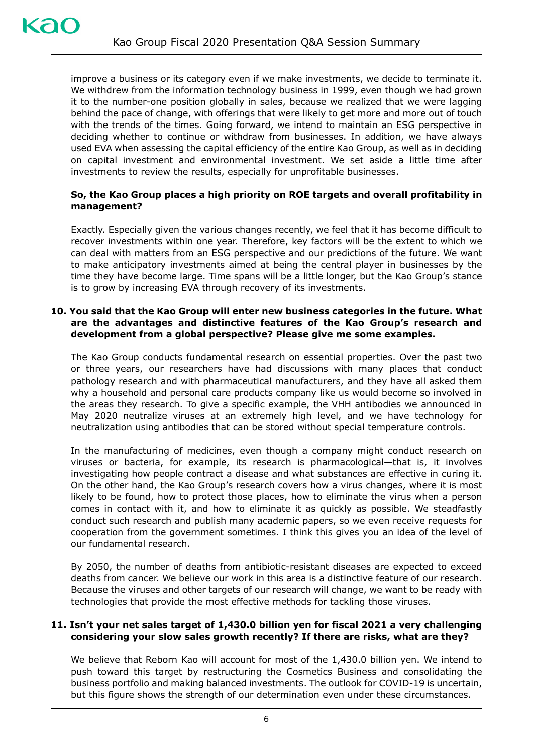improve a business or its category even if we make investments, we decide to terminate it. We withdrew from the information technology business in 1999, even though we had grown it to the number-one position globally in sales, because we realized that we were lagging behind the pace of change, with offerings that were likely to get more and more out of touch with the trends of the times. Going forward, we intend to maintain an ESG perspective in deciding whether to continue or withdraw from businesses. In addition, we have always used EVA when assessing the capital efficiency of the entire Kao Group, as well as in deciding on capital investment and environmental investment. We set aside a little time after investments to review the results, especially for unprofitable businesses.

# **So, the Kao Group places a high priority on ROE targets and overall profitability in management?**

Exactly. Especially given the various changes recently, we feel that it has become difficult to recover investments within one year. Therefore, key factors will be the extent to which we can deal with matters from an ESG perspective and our predictions of the future. We want to make anticipatory investments aimed at being the central player in businesses by the time they have become large. Time spans will be a little longer, but the Kao Group's stance is to grow by increasing EVA through recovery of its investments.

#### **10. You said that the Kao Group will enter new business categories in the future. What are the advantages and distinctive features of the Kao Group's research and development from a global perspective? Please give me some examples.**

The Kao Group conducts fundamental research on essential properties. Over the past two or three years, our researchers have had discussions with many places that conduct pathology research and with pharmaceutical manufacturers, and they have all asked them why a household and personal care products company like us would become so involved in the areas they research. To give a specific example, the VHH antibodies we announced in May 2020 neutralize viruses at an extremely high level, and we have technology for neutralization using antibodies that can be stored without special temperature controls.

In the manufacturing of medicines, even though a company might conduct research on viruses or bacteria, for example, its research is pharmacological—that is, it involves investigating how people contract a disease and what substances are effective in curing it. On the other hand, the Kao Group's research covers how a virus changes, where it is most likely to be found, how to protect those places, how to eliminate the virus when a person comes in contact with it, and how to eliminate it as quickly as possible. We steadfastly conduct such research and publish many academic papers, so we even receive requests for cooperation from the government sometimes. I think this gives you an idea of the level of our fundamental research.

By 2050, the number of deaths from antibiotic-resistant diseases are expected to exceed deaths from cancer. We believe our work in this area is a distinctive feature of our research. Because the viruses and other targets of our research will change, we want to be ready with technologies that provide the most effective methods for tackling those viruses.

#### **11. Isn't your net sales target of 1,430.0 billion yen for fiscal 2021 a very challenging considering your slow sales growth recently? If there are risks, what are they?**

We believe that Reborn Kao will account for most of the 1,430.0 billion yen. We intend to push toward this target by restructuring the Cosmetics Business and consolidating the business portfolio and making balanced investments. The outlook for COVID-19 is uncertain, but this figure shows the strength of our determination even under these circumstances.